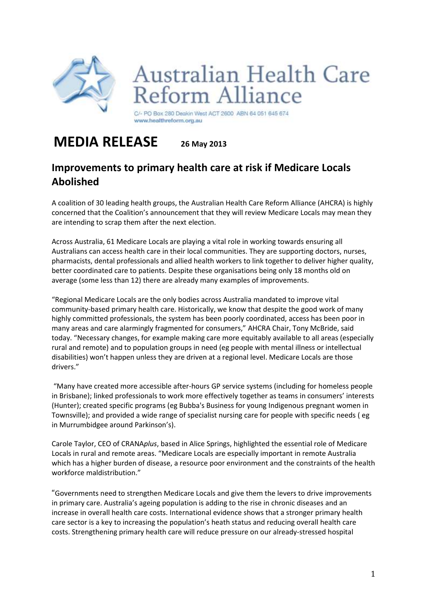

C/- PO Box 280 Deakin West ACT 2600 ABN 64 051 645 674 www.healthreform.org.au

eform Alliance

**Australian Health Care** 

## **MEDIA RELEASE 26 May 2013**

## **Improvements to primary health care at risk if Medicare Locals Abolished**

A coalition of 30 leading health groups, the Australian Health Care Reform Alliance (AHCRA) is highly concerned that the Coalition's announcement that they will review Medicare Locals may mean they are intending to scrap them after the next election.

Across Australia, 61 Medicare Locals are playing a vital role in working towards ensuring all Australians can access health care in their local communities. They are supporting doctors, nurses, pharmacists, dental professionals and allied health workers to link together to deliver higher quality, better coordinated care to patients. Despite these organisations being only 18 months old on average (some less than 12) there are already many examples of improvements.

"Regional Medicare Locals are the only bodies across Australia mandated to improve vital community-based primary health care. Historically, we know that despite the good work of many highly committed professionals, the system has been poorly coordinated, access has been poor in many areas and care alarmingly fragmented for consumers," AHCRA Chair, Tony McBride, said today. "Necessary changes, for example making care more equitably available to all areas (especially rural and remote) and to population groups in need (eg people with mental illness or intellectual disabilities) won't happen unless they are driven at a regional level. Medicare Locals are those drivers."

"Many have created more accessible after-hours GP service systems (including for homeless people in Brisbane); linked professionals to work more effectively together as teams in consumers' interests (Hunter); created specific programs (eg Bubba's Business for young Indigenous pregnant women in Townsville); and provided a wide range of specialist nursing care for people with specific needs ( eg in Murrumbidgee around Parkinson's).

Carole Taylor, CEO of CRANA*plus*, based in Alice Springs, highlighted the essential role of Medicare Locals in rural and remote areas. "Medicare Locals are especially important in remote Australia which has a higher burden of disease, a resource poor environment and the constraints of the health workforce maldistribution."

"Governments need to strengthen Medicare Locals and give them the levers to drive improvements in primary care. Australia's ageing population is adding to the rise in chronic diseases and an increase in overall health care costs. International evidence shows that a stronger primary health care sector is a key to increasing the population's heath status and reducing overall health care costs. Strengthening primary health care will reduce pressure on our already-stressed hospital